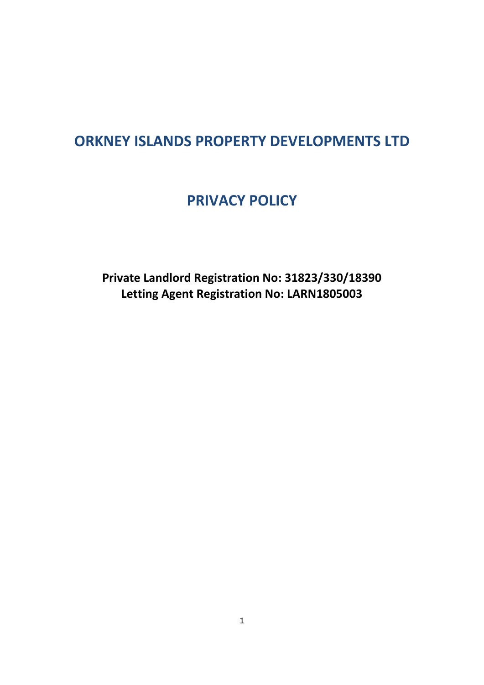# **ORKNEY ISLANDS PROPERTY DEVELOPMENTS LTD**

# **PRIVACY POLICY**

**Private Landlord Registration No: 31823/330/18390 Letting Agent Registration No: LARN1805003**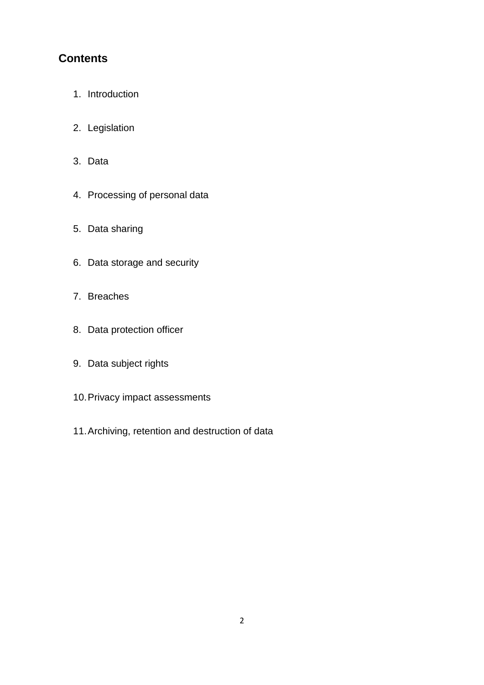# **Contents**

- 1. Introduction
- 2. Legislation
- 3. Data
- 4. Processing of personal data
- 5. Data sharing
- 6. Data storage and security
- 7. Breaches
- 8. Data protection officer
- 9. Data subject rights
- 10.Privacy impact assessments
- 11.Archiving, retention and destruction of data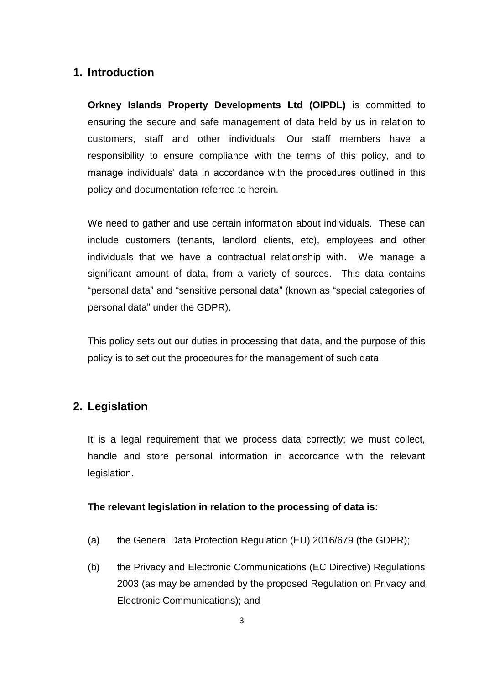# **1. Introduction**

**Orkney Islands Property Developments Ltd (OIPDL)** is committed to ensuring the secure and safe management of data held by us in relation to customers, staff and other individuals. Our staff members have a responsibility to ensure compliance with the terms of this policy, and to manage individuals' data in accordance with the procedures outlined in this policy and documentation referred to herein.

We need to gather and use certain information about individuals. These can include customers (tenants, landlord clients, etc), employees and other individuals that we have a contractual relationship with. We manage a significant amount of data, from a variety of sources. This data contains "personal data" and "sensitive personal data" (known as "special categories of personal data" under the GDPR).

This policy sets out our duties in processing that data, and the purpose of this policy is to set out the procedures for the management of such data.

# **2. Legislation**

It is a legal requirement that we process data correctly; we must collect, handle and store personal information in accordance with the relevant legislation.

## **The relevant legislation in relation to the processing of data is:**

- (a) the General Data Protection Regulation (EU) 2016/679 (the GDPR);
- (b) the Privacy and Electronic Communications (EC Directive) Regulations 2003 (as may be amended by the proposed Regulation on Privacy and Electronic Communications); and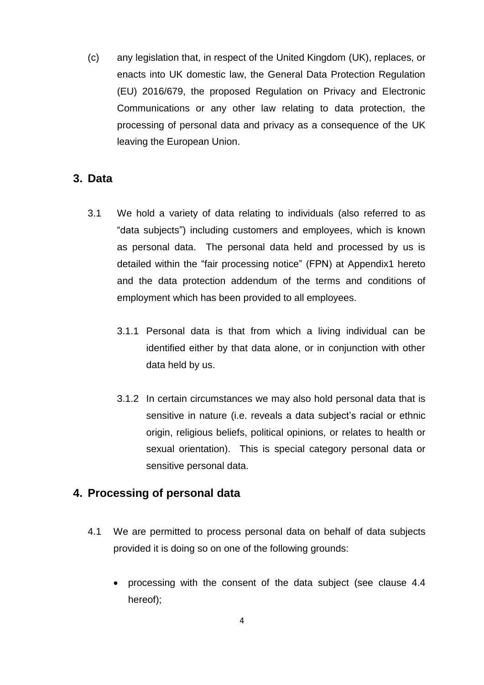(c) any legislation that, in respect of the United Kingdom (UK), replaces, or enacts into UK domestic law, the General Data Protection Regulation (EU) 2016/679, the proposed Regulation on Privacy and Electronic Communications or any other law relating to data protection, the processing of personal data and privacy as a consequence of the UK leaving the European Union.

# **3. Data**

- 3.1 We hold a variety of data relating to individuals (also referred to as "data subjects") including customers and employees, which is known as personal data. The personal data held and processed by us is detailed within the "fair processing notice" (FPN) at Appendix1 hereto and the data protection addendum of the terms and conditions of employment which has been provided to all employees.
	- 3.1.1 Personal data is that from which a living individual can be identified either by that data alone, or in conjunction with other data held by us.
	- 3.1.2 In certain circumstances we may also hold personal data that is sensitive in nature (i.e. reveals a data subject's racial or ethnic origin, religious beliefs, political opinions, or relates to health or sexual orientation). This is special category personal data or sensitive personal data.

# **4. Processing of personal data**

- 4.1 We are permitted to process personal data on behalf of data subjects provided it is doing so on one of the following grounds:
	- processing with the consent of the data subject (see clause 4.4 hereof);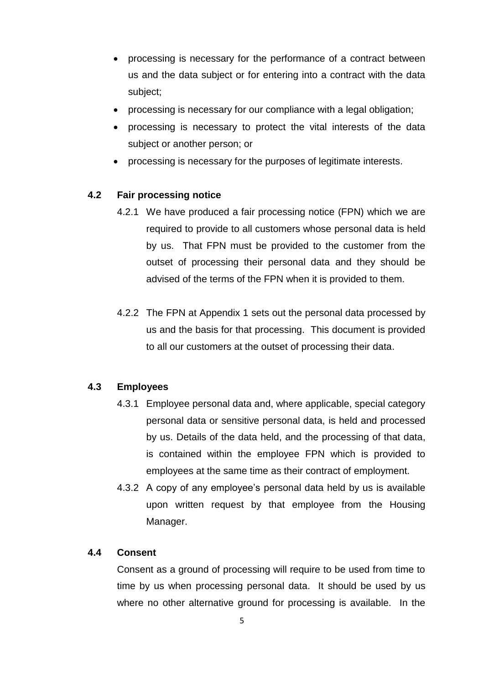- processing is necessary for the performance of a contract between us and the data subject or for entering into a contract with the data subject;
- processing is necessary for our compliance with a legal obligation;
- processing is necessary to protect the vital interests of the data subject or another person; or
- processing is necessary for the purposes of legitimate interests.

## **4.2 Fair processing notice**

- 4.2.1 We have produced a fair processing notice (FPN) which we are required to provide to all customers whose personal data is held by us. That FPN must be provided to the customer from the outset of processing their personal data and they should be advised of the terms of the FPN when it is provided to them.
- 4.2.2 The FPN at Appendix 1 sets out the personal data processed by us and the basis for that processing. This document is provided to all our customers at the outset of processing their data.

## **4.3 Employees**

- 4.3.1 Employee personal data and, where applicable, special category personal data or sensitive personal data, is held and processed by us. Details of the data held, and the processing of that data, is contained within the employee FPN which is provided to employees at the same time as their contract of employment.
- 4.3.2 A copy of any employee's personal data held by us is available upon written request by that employee from the Housing Manager.

## **4.4 Consent**

Consent as a ground of processing will require to be used from time to time by us when processing personal data. It should be used by us where no other alternative ground for processing is available. In the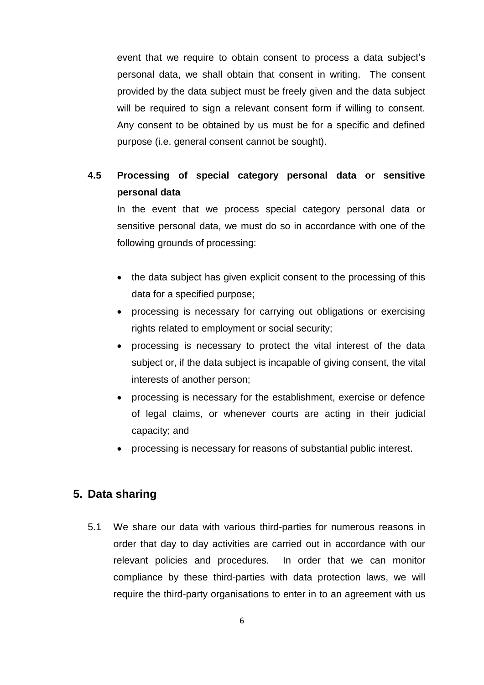event that we require to obtain consent to process a data subject's personal data, we shall obtain that consent in writing. The consent provided by the data subject must be freely given and the data subject will be required to sign a relevant consent form if willing to consent. Any consent to be obtained by us must be for a specific and defined purpose (i.e. general consent cannot be sought).

# **4.5 Processing of special category personal data or sensitive personal data**

In the event that we process special category personal data or sensitive personal data, we must do so in accordance with one of the following grounds of processing:

- the data subject has given explicit consent to the processing of this data for a specified purpose;
- processing is necessary for carrying out obligations or exercising rights related to employment or social security;
- processing is necessary to protect the vital interest of the data subject or, if the data subject is incapable of giving consent, the vital interests of another person;
- processing is necessary for the establishment, exercise or defence of legal claims, or whenever courts are acting in their judicial capacity; and
- processing is necessary for reasons of substantial public interest.

# **5. Data sharing**

5.1 We share our data with various third-parties for numerous reasons in order that day to day activities are carried out in accordance with our relevant policies and procedures. In order that we can monitor compliance by these third-parties with data protection laws, we will require the third-party organisations to enter in to an agreement with us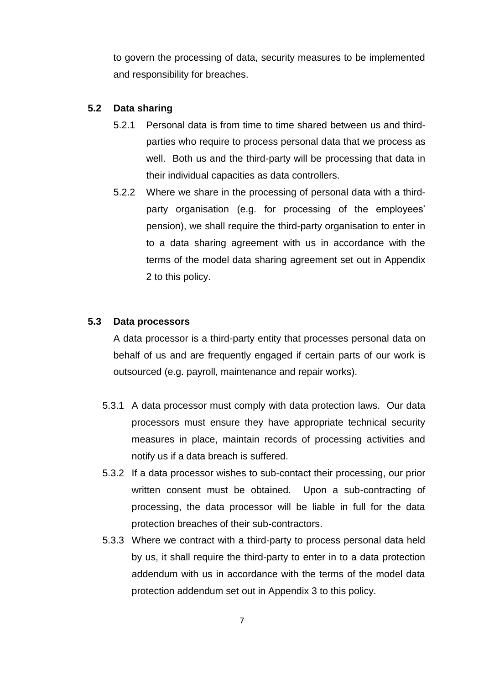to govern the processing of data, security measures to be implemented and responsibility for breaches.

#### **5.2 Data sharing**

- 5.2.1 Personal data is from time to time shared between us and thirdparties who require to process personal data that we process as well. Both us and the third-party will be processing that data in their individual capacities as data controllers.
- 5.2.2 Where we share in the processing of personal data with a thirdparty organisation (e.g. for processing of the employees' pension), we shall require the third-party organisation to enter in to a data sharing agreement with us in accordance with the terms of the model data sharing agreement set out in Appendix 2 to this policy.

### **5.3 Data processors**

A data processor is a third-party entity that processes personal data on behalf of us and are frequently engaged if certain parts of our work is outsourced (e.g. payroll, maintenance and repair works).

- 5.3.1 A data processor must comply with data protection laws. Our data processors must ensure they have appropriate technical security measures in place, maintain records of processing activities and notify us if a data breach is suffered.
- 5.3.2 If a data processor wishes to sub-contact their processing, our prior written consent must be obtained. Upon a sub-contracting of processing, the data processor will be liable in full for the data protection breaches of their sub-contractors.
- 5.3.3 Where we contract with a third-party to process personal data held by us, it shall require the third-party to enter in to a data protection addendum with us in accordance with the terms of the model data protection addendum set out in Appendix 3 to this policy.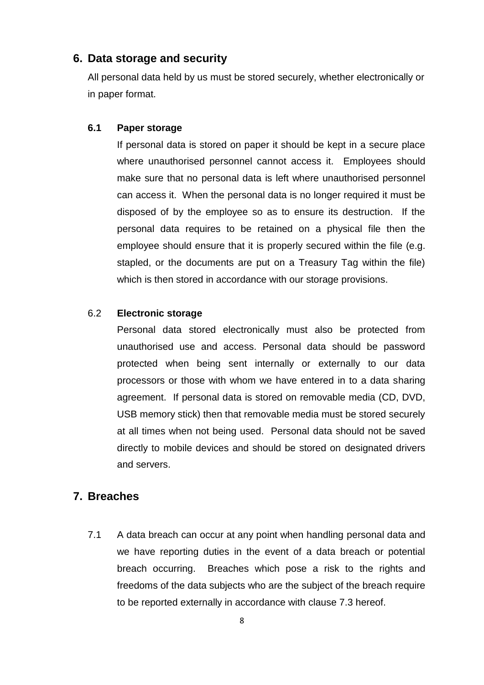# **6. Data storage and security**

All personal data held by us must be stored securely, whether electronically or in paper format.

### **6.1 Paper storage**

If personal data is stored on paper it should be kept in a secure place where unauthorised personnel cannot access it. Employees should make sure that no personal data is left where unauthorised personnel can access it. When the personal data is no longer required it must be disposed of by the employee so as to ensure its destruction. If the personal data requires to be retained on a physical file then the employee should ensure that it is properly secured within the file (e.g. stapled, or the documents are put on a Treasury Tag within the file) which is then stored in accordance with our storage provisions.

#### 6.2 **Electronic storage**

Personal data stored electronically must also be protected from unauthorised use and access. Personal data should be password protected when being sent internally or externally to our data processors or those with whom we have entered in to a data sharing agreement. If personal data is stored on removable media (CD, DVD, USB memory stick) then that removable media must be stored securely at all times when not being used. Personal data should not be saved directly to mobile devices and should be stored on designated drivers and servers.

# **7. Breaches**

7.1 A data breach can occur at any point when handling personal data and we have reporting duties in the event of a data breach or potential breach occurring. Breaches which pose a risk to the rights and freedoms of the data subjects who are the subject of the breach require to be reported externally in accordance with clause 7.3 hereof.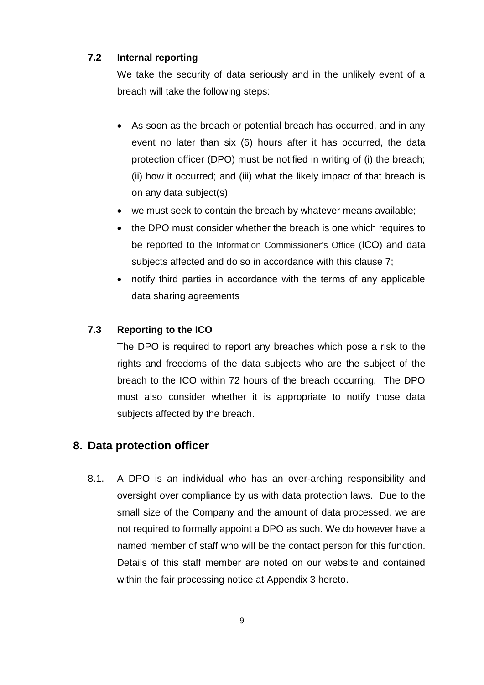# **7.2 Internal reporting**

We take the security of data seriously and in the unlikely event of a breach will take the following steps:

- As soon as the breach or potential breach has occurred, and in any event no later than six (6) hours after it has occurred, the data protection officer (DPO) must be notified in writing of (i) the breach; (ii) how it occurred; and (iii) what the likely impact of that breach is on any data subject(s);
- we must seek to contain the breach by whatever means available;
- the DPO must consider whether the breach is one which requires to be reported to the Information Commissioner's Office (ICO) and data subjects affected and do so in accordance with this clause 7;
- notify third parties in accordance with the terms of any applicable data sharing agreements

# **7.3 Reporting to the ICO**

The DPO is required to report any breaches which pose a risk to the rights and freedoms of the data subjects who are the subject of the breach to the ICO within 72 hours of the breach occurring. The DPO must also consider whether it is appropriate to notify those data subjects affected by the breach.

# **8. Data protection officer**

8.1. A DPO is an individual who has an over-arching responsibility and oversight over compliance by us with data protection laws. Due to the small size of the Company and the amount of data processed, we are not required to formally appoint a DPO as such. We do however have a named member of staff who will be the contact person for this function. Details of this staff member are noted on our website and contained within the fair processing notice at Appendix 3 hereto.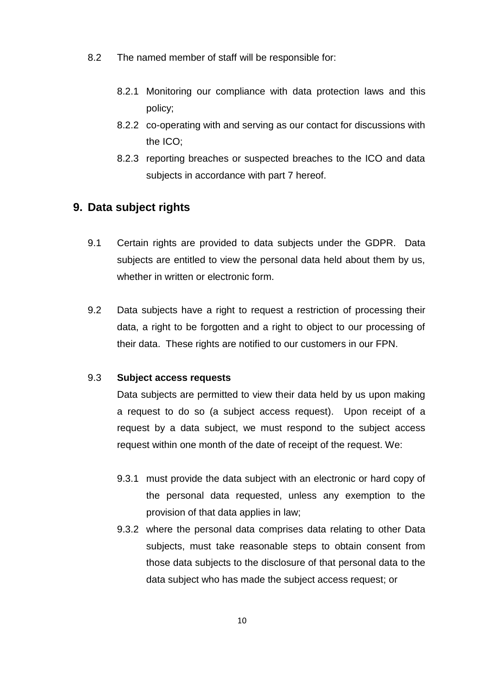- 8.2 The named member of staff will be responsible for:
	- 8.2.1 Monitoring our compliance with data protection laws and this policy;
	- 8.2.2 co-operating with and serving as our contact for discussions with the ICO;
	- 8.2.3 reporting breaches or suspected breaches to the ICO and data subjects in accordance with part 7 hereof.

# **9. Data subject rights**

- 9.1 Certain rights are provided to data subjects under the GDPR. Data subjects are entitled to view the personal data held about them by us, whether in written or electronic form.
- 9.2 Data subjects have a right to request a restriction of processing their data, a right to be forgotten and a right to object to our processing of their data. These rights are notified to our customers in our FPN.

### 9.3 **Subject access requests**

Data subjects are permitted to view their data held by us upon making a request to do so (a subject access request). Upon receipt of a request by a data subject, we must respond to the subject access request within one month of the date of receipt of the request. We:

- 9.3.1 must provide the data subject with an electronic or hard copy of the personal data requested, unless any exemption to the provision of that data applies in law;
- 9.3.2 where the personal data comprises data relating to other Data subjects, must take reasonable steps to obtain consent from those data subjects to the disclosure of that personal data to the data subject who has made the subject access request; or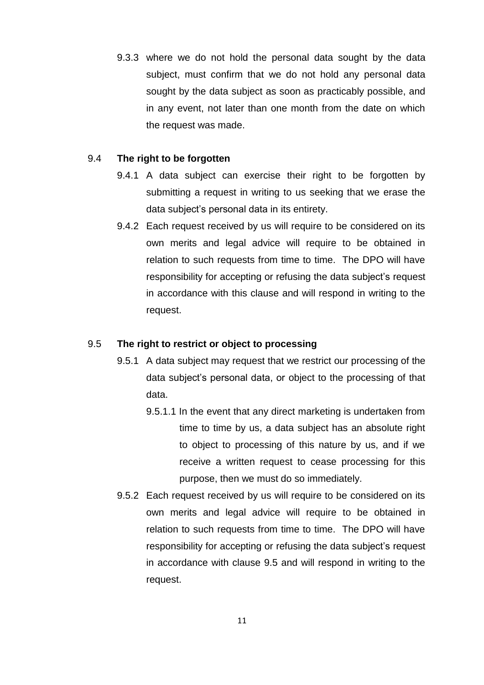9.3.3 where we do not hold the personal data sought by the data subject, must confirm that we do not hold any personal data sought by the data subject as soon as practicably possible, and in any event, not later than one month from the date on which the request was made.

### 9.4 **The right to be forgotten**

- 9.4.1 A data subject can exercise their right to be forgotten by submitting a request in writing to us seeking that we erase the data subject's personal data in its entirety.
- 9.4.2 Each request received by us will require to be considered on its own merits and legal advice will require to be obtained in relation to such requests from time to time. The DPO will have responsibility for accepting or refusing the data subject's request in accordance with this clause and will respond in writing to the request.

### 9.5 **The right to restrict or object to processing**

- 9.5.1 A data subject may request that we restrict our processing of the data subject's personal data, or object to the processing of that data.
	- 9.5.1.1 In the event that any direct marketing is undertaken from time to time by us, a data subject has an absolute right to object to processing of this nature by us, and if we receive a written request to cease processing for this purpose, then we must do so immediately.
- 9.5.2 Each request received by us will require to be considered on its own merits and legal advice will require to be obtained in relation to such requests from time to time. The DPO will have responsibility for accepting or refusing the data subject's request in accordance with clause 9.5 and will respond in writing to the request.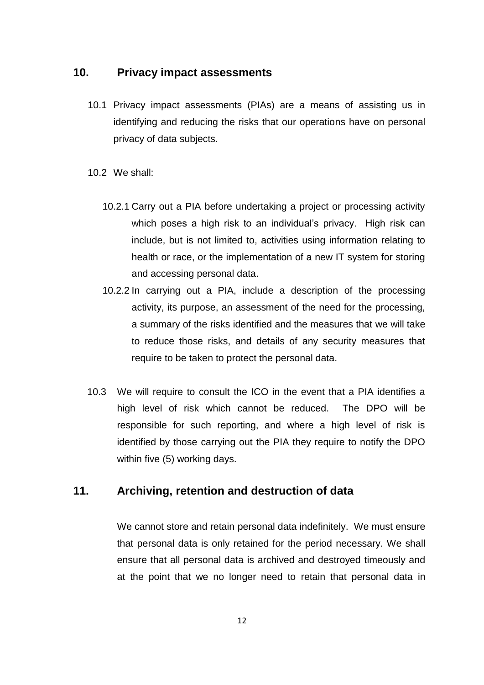# **10. Privacy impact assessments**

10.1 Privacy impact assessments (PIAs) are a means of assisting us in identifying and reducing the risks that our operations have on personal privacy of data subjects.

10.2 We shall:

- 10.2.1 Carry out a PIA before undertaking a project or processing activity which poses a high risk to an individual's privacy. High risk can include, but is not limited to, activities using information relating to health or race, or the implementation of a new IT system for storing and accessing personal data.
- 10.2.2 In carrying out a PIA, include a description of the processing activity, its purpose, an assessment of the need for the processing, a summary of the risks identified and the measures that we will take to reduce those risks, and details of any security measures that require to be taken to protect the personal data.
- 10.3 We will require to consult the ICO in the event that a PIA identifies a high level of risk which cannot be reduced. The DPO will be responsible for such reporting, and where a high level of risk is identified by those carrying out the PIA they require to notify the DPO within five (5) working days.

# **11. Archiving, retention and destruction of data**

We cannot store and retain personal data indefinitely. We must ensure that personal data is only retained for the period necessary. We shall ensure that all personal data is archived and destroyed timeously and at the point that we no longer need to retain that personal data in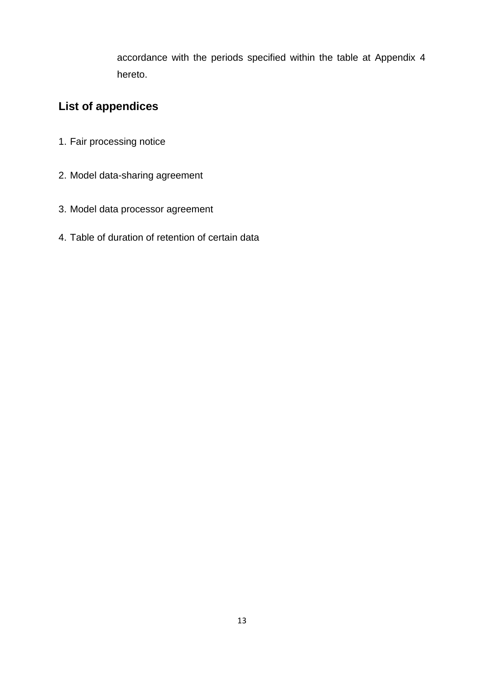accordance with the periods specified within the table at Appendix 4 hereto.

# **List of appendices**

- 1. Fair processing notice
- 2. Model data-sharing agreement
- 3. Model data processor agreement
- 4. Table of duration of retention of certain data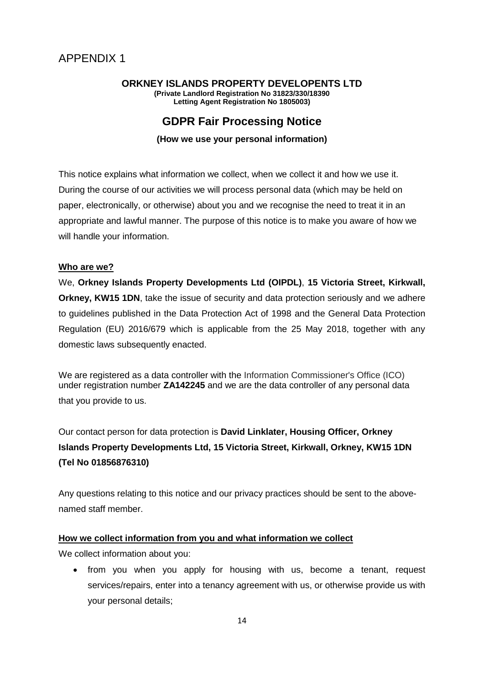#### **ORKNEY ISLANDS PROPERTY DEVELOPENTS LTD (Private Landlord Registration No 31823/330/18390 Letting Agent Registration No 1805003)**

# **GDPR Fair Processing Notice**

### **(How we use your personal information)**

This notice explains what information we collect, when we collect it and how we use it. During the course of our activities we will process personal data (which may be held on paper, electronically, or otherwise) about you and we recognise the need to treat it in an appropriate and lawful manner. The purpose of this notice is to make you aware of how we will handle your information.

### **Who are we?**

We, **Orkney Islands Property Developments Ltd (OIPDL)**, **15 Victoria Street, Kirkwall, Orkney, KW15 1DN**, take the issue of security and data protection seriously and we adhere to guidelines published in the Data Protection Act of 1998 and the General Data Protection Regulation (EU) 2016/679 which is applicable from the 25 May 2018, together with any domestic laws subsequently enacted.

We are registered as a data controller with the Information Commissioner's Office (ICO) under registration number **ZA142245** and we are the data controller of any personal data that you provide to us.

Our contact person for data protection is **David Linklater, Housing Officer, Orkney Islands Property Developments Ltd, 15 Victoria Street, Kirkwall, Orkney, KW15 1DN (Tel No 01856876310)**

Any questions relating to this notice and our privacy practices should be sent to the abovenamed staff member.

## **How we collect information from you and what information we collect**

We collect information about you:

• from you when you apply for housing with us, become a tenant, request services/repairs, enter into a tenancy agreement with us, or otherwise provide us with your personal details;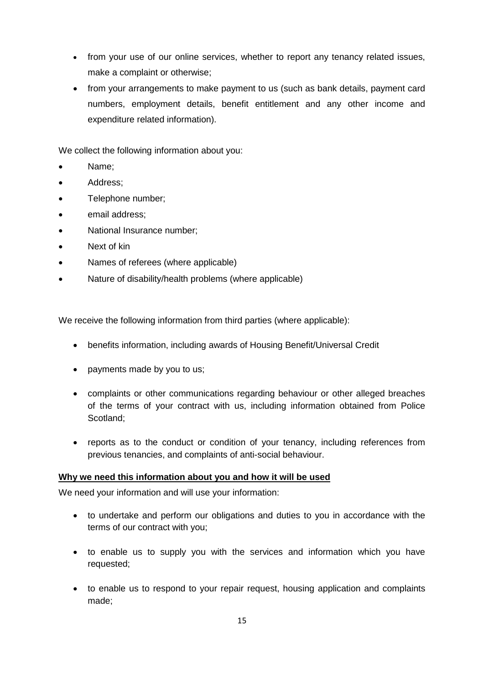- from your use of our online services, whether to report any tenancy related issues, make a complaint or otherwise;
- from your arrangements to make payment to us (such as bank details, payment card numbers, employment details, benefit entitlement and any other income and expenditure related information).

We collect the following information about you:

- Name;
- Address;
- Telephone number:
- email address;
- National Insurance number;
- Next of kin
- Names of referees (where applicable)
- Nature of disability/health problems (where applicable)

We receive the following information from third parties (where applicable):

- benefits information, including awards of Housing Benefit/Universal Credit
- payments made by you to us;
- complaints or other communications regarding behaviour or other alleged breaches of the terms of your contract with us, including information obtained from Police Scotland;
- reports as to the conduct or condition of your tenancy, including references from previous tenancies, and complaints of anti-social behaviour.

#### **Why we need this information about you and how it will be used**

We need your information and will use your information:

- to undertake and perform our obligations and duties to you in accordance with the terms of our contract with you;
- to enable us to supply you with the services and information which you have requested;
- to enable us to respond to your repair request, housing application and complaints made;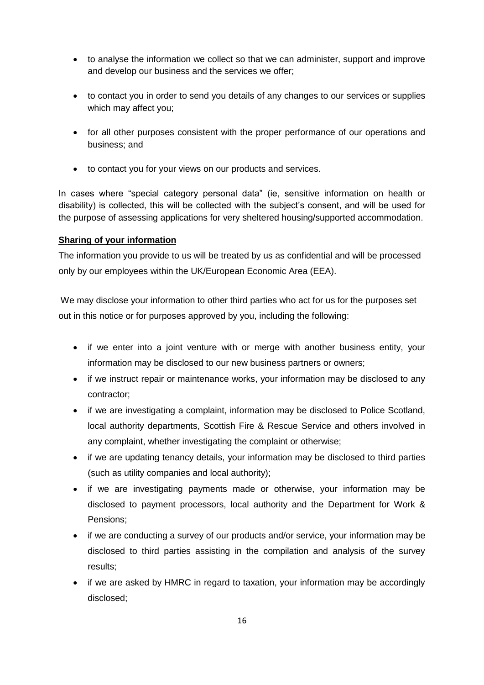- to analyse the information we collect so that we can administer, support and improve and develop our business and the services we offer;
- to contact you in order to send you details of any changes to our services or supplies which may affect you;
- for all other purposes consistent with the proper performance of our operations and business; and
- to contact you for your views on our products and services.

In cases where "special category personal data" (ie, sensitive information on health or disability) is collected, this will be collected with the subject's consent, and will be used for the purpose of assessing applications for very sheltered housing/supported accommodation.

## **Sharing of your information**

The information you provide to us will be treated by us as confidential and will be processed only by our employees within the UK/European Economic Area (EEA).

We may disclose your information to other third parties who act for us for the purposes set out in this notice or for purposes approved by you, including the following:

- if we enter into a joint venture with or merge with another business entity, your information may be disclosed to our new business partners or owners;
- if we instruct repair or maintenance works, your information may be disclosed to any contractor;
- if we are investigating a complaint, information may be disclosed to Police Scotland, local authority departments, Scottish Fire & Rescue Service and others involved in any complaint, whether investigating the complaint or otherwise;
- if we are updating tenancy details, your information may be disclosed to third parties (such as utility companies and local authority);
- if we are investigating payments made or otherwise, your information may be disclosed to payment processors, local authority and the Department for Work & Pensions;
- if we are conducting a survey of our products and/or service, your information may be disclosed to third parties assisting in the compilation and analysis of the survey results;
- if we are asked by HMRC in regard to taxation, your information may be accordingly disclosed;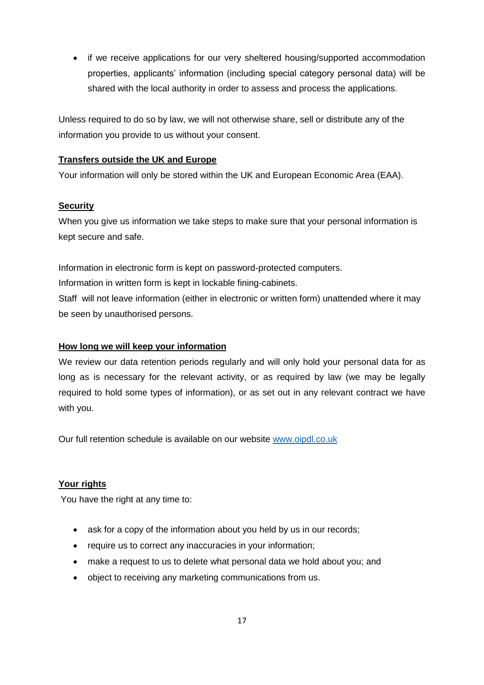• if we receive applications for our very sheltered housing/supported accommodation properties, applicants' information (including special category personal data) will be shared with the local authority in order to assess and process the applications.

Unless required to do so by law, we will not otherwise share, sell or distribute any of the information you provide to us without your consent.

## **Transfers outside the UK and Europe**

Your information will only be stored within the UK and European Economic Area (EAA).

## **Security**

When you give us information we take steps to make sure that your personal information is kept secure and safe.

Information in electronic form is kept on password-protected computers. Information in written form is kept in lockable fining-cabinets. Staff will not leave information (either in electronic or written form) unattended where it may be seen by unauthorised persons.

## **How long we will keep your information**

We review our data retention periods regularly and will only hold your personal data for as long as is necessary for the relevant activity, or as required by law (we may be legally required to hold some types of information), or as set out in any relevant contract we have with you.

Our full retention schedule is available on our website [www.oipdl.co.uk](http://www.oipdl.co.uk/)

## **Your rights**

You have the right at any time to:

- ask for a copy of the information about you held by us in our records;
- require us to correct any inaccuracies in your information;
- make a request to us to delete what personal data we hold about you; and
- object to receiving any marketing communications from us.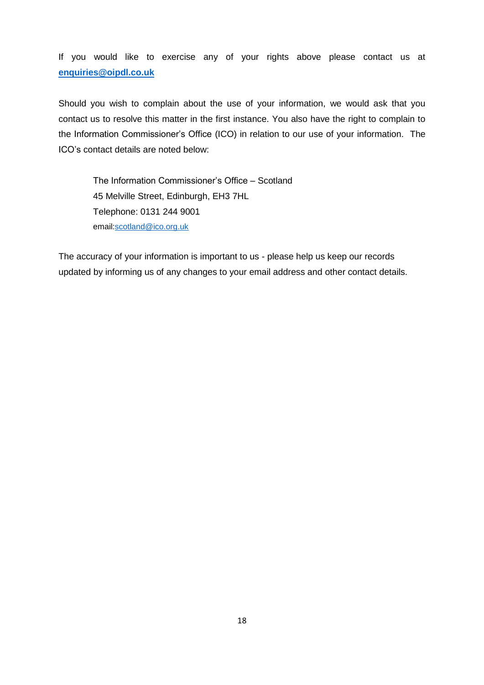If you would like to exercise any of your rights above please contact us at **[enquiries@oipdl.co.uk](mailto:enquiries@oipdl.co.uk)**

Should you wish to complain about the use of your information, we would ask that you contact us to resolve this matter in the first instance. You also have the right to complain to the Information Commissioner's Office (ICO) in relation to our use of your information. The ICO's contact details are noted below:

The Information Commissioner's Office – Scotland 45 Melville Street, Edinburgh, EH3 7HL Telephone: 0131 244 9001 email[:scotland@ico.org.uk](mailto:scotland@ico.org.uk)

The accuracy of your information is important to us - please help us keep our records updated by informing us of any changes to your email address and other contact details.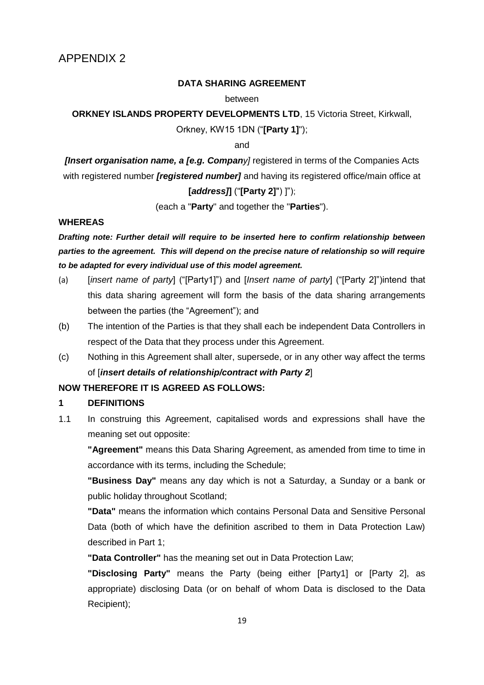#### **DATA SHARING AGREEMENT**

#### between

**ORKNEY ISLANDS PROPERTY DEVELOPMENTS LTD, 15 Victoria Street, Kirkwall,** 

Orkney, KW15 1DN ("**[Party 1]**");

and

*[Insert organisation name, a [e.g. Company]* **registered in terms of the Companies Acts** with registered number *[registered number]* and having its registered office/main office at

### **[***address]***]** ("**[Party 2]**") ]");

(each a "**Party**" and together the "**Parties**").

#### **WHEREAS**

*Drafting note: Further detail will require to be inserted here to confirm relationship between parties to the agreement. This will depend on the precise nature of relationship so will require to be adapted for every individual use of this model agreement.*

- (a) [*insert name of party*] ("[Party1]") and [*Insert name of party*] ("[Party 2]")intend that this data sharing agreement will form the basis of the data sharing arrangements between the parties (the "Agreement"); and
- (b) The intention of the Parties is that they shall each be independent Data Controllers in respect of the Data that they process under this Agreement.
- (c) Nothing in this Agreement shall alter, supersede, or in any other way affect the terms of [*insert details of relationship/contract with Party 2*]

## **NOW THEREFORE IT IS AGREED AS FOLLOWS:**

#### **1 DEFINITIONS**

1.1 In construing this Agreement, capitalised words and expressions shall have the meaning set out opposite:

**"Agreement"** means this Data Sharing Agreement, as amended from time to time in accordance with its terms, including the Schedule;

**"Business Day"** means any day which is not a Saturday, a Sunday or a bank or public holiday throughout Scotland;

**"Data"** means the information which contains Personal Data and Sensitive Personal Data (both of which have the definition ascribed to them in Data Protection Law) described in Part 1;

**"Data Controller"** has the meaning set out in Data Protection Law;

**"Disclosing Party"** means the Party (being either [Party1] or [Party 2], as appropriate) disclosing Data (or on behalf of whom Data is disclosed to the Data Recipient);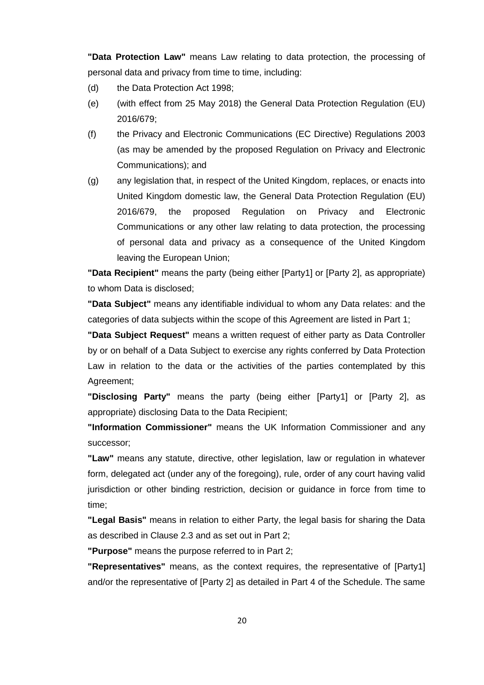**"Data Protection Law"** means Law relating to data protection, the processing of personal data and privacy from time to time, including:

- (d) the Data Protection Act 1998;
- (e) (with effect from 25 May 2018) the General Data Protection Regulation (EU) 2016/679;
- (f) the Privacy and Electronic Communications (EC Directive) Regulations 2003 (as may be amended by the proposed Regulation on Privacy and Electronic Communications); and
- (g) any legislation that, in respect of the United Kingdom, replaces, or enacts into United Kingdom domestic law, the General Data Protection Regulation (EU) 2016/679, the proposed Regulation on Privacy and Electronic Communications or any other law relating to data protection, the processing of personal data and privacy as a consequence of the United Kingdom leaving the European Union;

**"Data Recipient"** means the party (being either [Party1] or [Party 2], as appropriate) to whom Data is disclosed;

**"Data Subject"** means any identifiable individual to whom any Data relates: and the categories of data subjects within the scope of this Agreement are listed in Part 1;

**"Data Subject Request"** means a written request of either party as Data Controller by or on behalf of a Data Subject to exercise any rights conferred by Data Protection Law in relation to the data or the activities of the parties contemplated by this Agreement;

**"Disclosing Party"** means the party (being either [Party1] or [Party 2], as appropriate) disclosing Data to the Data Recipient;

**"Information Commissioner"** means the UK Information Commissioner and any successor;

**"Law"** means any statute, directive, other legislation, law or regulation in whatever form, delegated act (under any of the foregoing), rule, order of any court having valid jurisdiction or other binding restriction, decision or guidance in force from time to time;

**"Legal Basis"** means in relation to either Party, the legal basis for sharing the Data as described in Clause 2.3 and as set out in Part 2;

**"Purpose"** means the purpose referred to in Part 2;

**"Representatives"** means, as the context requires, the representative of [Party1] and/or the representative of [Party 2] as detailed in Part 4 of the Schedule. The same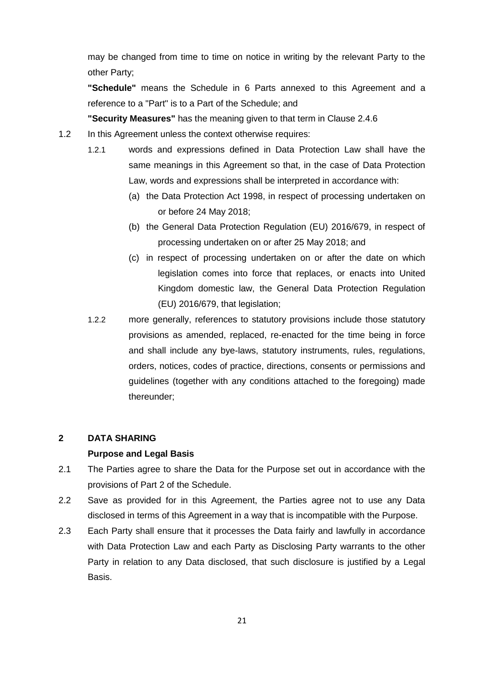may be changed from time to time on notice in writing by the relevant Party to the other Party;

**"Schedule"** means the Schedule in 6 Parts annexed to this Agreement and a reference to a "Part" is to a Part of the Schedule; and

**"Security Measures"** has the meaning given to that term in Clause 2.4.6

- 1.2 In this Agreement unless the context otherwise requires:
	- 1.2.1 words and expressions defined in Data Protection Law shall have the same meanings in this Agreement so that, in the case of Data Protection Law, words and expressions shall be interpreted in accordance with:
		- (a) the Data Protection Act 1998, in respect of processing undertaken on or before 24 May 2018;
		- (b) the General Data Protection Regulation (EU) 2016/679, in respect of processing undertaken on or after 25 May 2018; and
		- (c) in respect of processing undertaken on or after the date on which legislation comes into force that replaces, or enacts into United Kingdom domestic law, the General Data Protection Regulation (EU) 2016/679, that legislation;
	- 1.2.2 more generally, references to statutory provisions include those statutory provisions as amended, replaced, re-enacted for the time being in force and shall include any bye-laws, statutory instruments, rules, regulations, orders, notices, codes of practice, directions, consents or permissions and guidelines (together with any conditions attached to the foregoing) made thereunder;

#### **2 DATA SHARING**

#### **Purpose and Legal Basis**

- 2.1 The Parties agree to share the Data for the Purpose set out in accordance with the provisions of Part 2 of the Schedule.
- 2.2 Save as provided for in this Agreement, the Parties agree not to use any Data disclosed in terms of this Agreement in a way that is incompatible with the Purpose.
- 2.3 Each Party shall ensure that it processes the Data fairly and lawfully in accordance with Data Protection Law and each Party as Disclosing Party warrants to the other Party in relation to any Data disclosed, that such disclosure is justified by a Legal Basis.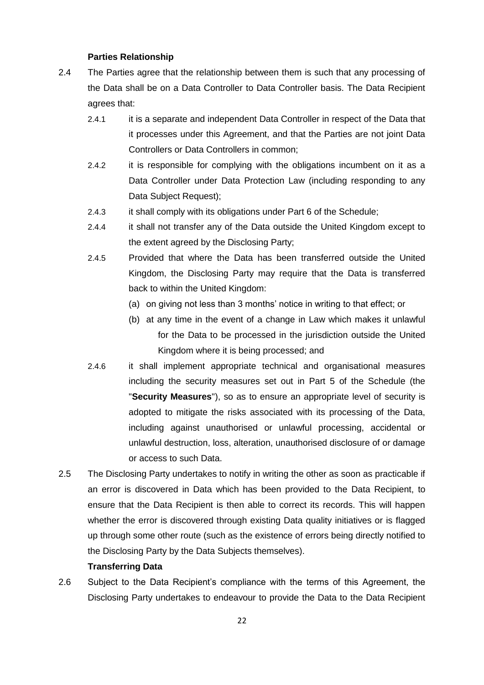#### **Parties Relationship**

- 2.4 The Parties agree that the relationship between them is such that any processing of the Data shall be on a Data Controller to Data Controller basis. The Data Recipient agrees that:
	- 2.4.1 it is a separate and independent Data Controller in respect of the Data that it processes under this Agreement, and that the Parties are not joint Data Controllers or Data Controllers in common;
	- 2.4.2 it is responsible for complying with the obligations incumbent on it as a Data Controller under Data Protection Law (including responding to any Data Subject Request);
	- 2.4.3 it shall comply with its obligations under Part 6 of the Schedule;
	- 2.4.4 it shall not transfer any of the Data outside the United Kingdom except to the extent agreed by the Disclosing Party;
	- 2.4.5 Provided that where the Data has been transferred outside the United Kingdom, the Disclosing Party may require that the Data is transferred back to within the United Kingdom:
		- (a) on giving not less than 3 months' notice in writing to that effect; or
		- (b) at any time in the event of a change in Law which makes it unlawful for the Data to be processed in the jurisdiction outside the United Kingdom where it is being processed; and
	- 2.4.6 it shall implement appropriate technical and organisational measures including the security measures set out in Part 5 of the Schedule (the "**Security Measures**"), so as to ensure an appropriate level of security is adopted to mitigate the risks associated with its processing of the Data, including against unauthorised or unlawful processing, accidental or unlawful destruction, loss, alteration, unauthorised disclosure of or damage or access to such Data.
- 2.5 The Disclosing Party undertakes to notify in writing the other as soon as practicable if an error is discovered in Data which has been provided to the Data Recipient, to ensure that the Data Recipient is then able to correct its records. This will happen whether the error is discovered through existing Data quality initiatives or is flagged up through some other route (such as the existence of errors being directly notified to the Disclosing Party by the Data Subjects themselves).

#### **Transferring Data**

2.6 Subject to the Data Recipient's compliance with the terms of this Agreement, the Disclosing Party undertakes to endeavour to provide the Data to the Data Recipient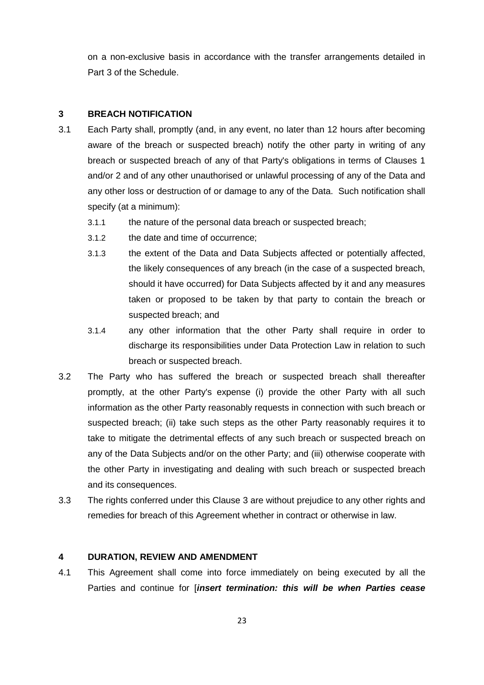on a non-exclusive basis in accordance with the transfer arrangements detailed in Part 3 of the Schedule.

#### **3 BREACH NOTIFICATION**

- 3.1 Each Party shall, promptly (and, in any event, no later than 12 hours after becoming aware of the breach or suspected breach) notify the other party in writing of any breach or suspected breach of any of that Party's obligations in terms of Clauses 1 and/or 2 and of any other unauthorised or unlawful processing of any of the Data and any other loss or destruction of or damage to any of the Data. Such notification shall specify (at a minimum):
	- 3.1.1 the nature of the personal data breach or suspected breach;
	- 3.1.2 the date and time of occurrence;
	- 3.1.3 the extent of the Data and Data Subjects affected or potentially affected, the likely consequences of any breach (in the case of a suspected breach, should it have occurred) for Data Subjects affected by it and any measures taken or proposed to be taken by that party to contain the breach or suspected breach; and
	- 3.1.4 any other information that the other Party shall require in order to discharge its responsibilities under Data Protection Law in relation to such breach or suspected breach.
- 3.2 The Party who has suffered the breach or suspected breach shall thereafter promptly, at the other Party's expense (i) provide the other Party with all such information as the other Party reasonably requests in connection with such breach or suspected breach; (ii) take such steps as the other Party reasonably requires it to take to mitigate the detrimental effects of any such breach or suspected breach on any of the Data Subjects and/or on the other Party; and (iii) otherwise cooperate with the other Party in investigating and dealing with such breach or suspected breach and its consequences.
- 3.3 The rights conferred under this Clause 3 are without prejudice to any other rights and remedies for breach of this Agreement whether in contract or otherwise in law.

## **4 DURATION, REVIEW AND AMENDMENT**

4.1 This Agreement shall come into force immediately on being executed by all the Parties and continue for [*insert termination: this will be when Parties cease*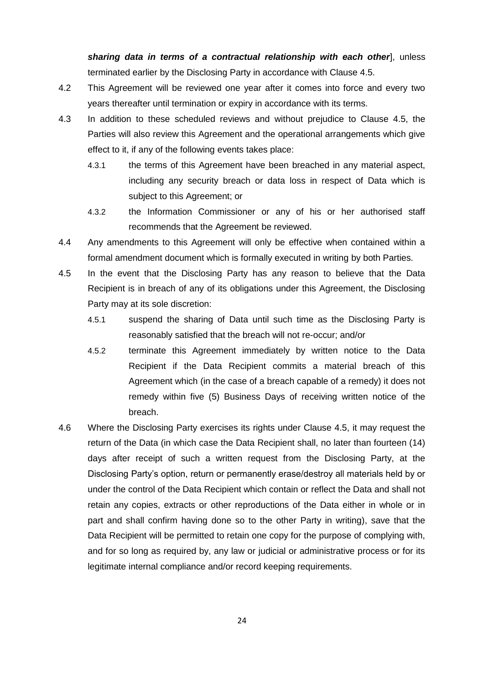*sharing data in terms of a contractual relationship with each other*], unless terminated earlier by the Disclosing Party in accordance with Clause 4.5.

- 4.2 This Agreement will be reviewed one year after it comes into force and every two years thereafter until termination or expiry in accordance with its terms.
- 4.3 In addition to these scheduled reviews and without prejudice to Clause 4.5, the Parties will also review this Agreement and the operational arrangements which give effect to it, if any of the following events takes place:
	- 4.3.1 the terms of this Agreement have been breached in any material aspect, including any security breach or data loss in respect of Data which is subject to this Agreement; or
	- 4.3.2 the Information Commissioner or any of his or her authorised staff recommends that the Agreement be reviewed.
- 4.4 Any amendments to this Agreement will only be effective when contained within a formal amendment document which is formally executed in writing by both Parties.
- 4.5 In the event that the Disclosing Party has any reason to believe that the Data Recipient is in breach of any of its obligations under this Agreement, the Disclosing Party may at its sole discretion:
	- 4.5.1 suspend the sharing of Data until such time as the Disclosing Party is reasonably satisfied that the breach will not re-occur; and/or
	- 4.5.2 terminate this Agreement immediately by written notice to the Data Recipient if the Data Recipient commits a material breach of this Agreement which (in the case of a breach capable of a remedy) it does not remedy within five (5) Business Days of receiving written notice of the breach.
- 4.6 Where the Disclosing Party exercises its rights under Clause 4.5, it may request the return of the Data (in which case the Data Recipient shall, no later than fourteen (14) days after receipt of such a written request from the Disclosing Party, at the Disclosing Party's option, return or permanently erase/destroy all materials held by or under the control of the Data Recipient which contain or reflect the Data and shall not retain any copies, extracts or other reproductions of the Data either in whole or in part and shall confirm having done so to the other Party in writing), save that the Data Recipient will be permitted to retain one copy for the purpose of complying with, and for so long as required by, any law or judicial or administrative process or for its legitimate internal compliance and/or record keeping requirements.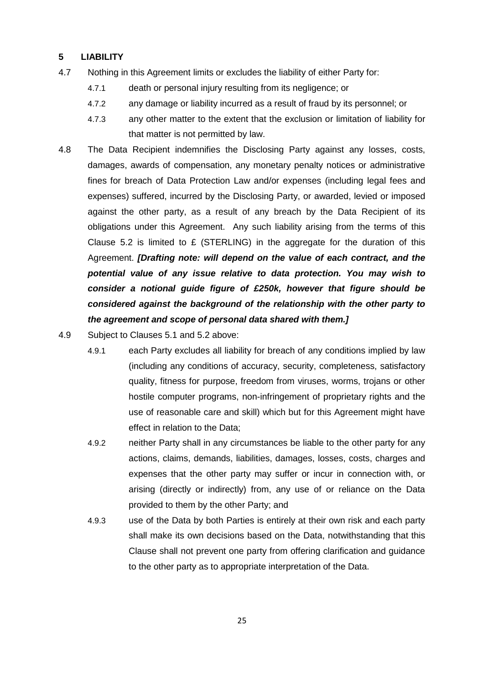## **5 LIABILITY**

- 4.7 Nothing in this Agreement limits or excludes the liability of either Party for:
	- 4.7.1 death or personal injury resulting from its negligence; or
	- 4.7.2 any damage or liability incurred as a result of fraud by its personnel; or
	- 4.7.3 any other matter to the extent that the exclusion or limitation of liability for that matter is not permitted by law.
- 4.8 The Data Recipient indemnifies the Disclosing Party against any losses, costs, damages, awards of compensation, any monetary penalty notices or administrative fines for breach of Data Protection Law and/or expenses (including legal fees and expenses) suffered, incurred by the Disclosing Party, or awarded, levied or imposed against the other party, as a result of any breach by the Data Recipient of its obligations under this Agreement. Any such liability arising from the terms of this Clause 5.2 is limited to  $E$  (STERLING) in the aggregate for the duration of this Agreement. *[Drafting note: will depend on the value of each contract, and the potential value of any issue relative to data protection. You may wish to consider a notional guide figure of £250k, however that figure should be considered against the background of the relationship with the other party to the agreement and scope of personal data shared with them.]*
- 4.9 Subject to Clauses 5.1 and 5.2 above:
	- 4.9.1 each Party excludes all liability for breach of any conditions implied by law (including any conditions of accuracy, security, completeness, satisfactory quality, fitness for purpose, freedom from viruses, worms, trojans or other hostile computer programs, non-infringement of proprietary rights and the use of reasonable care and skill) which but for this Agreement might have effect in relation to the Data;
	- 4.9.2 neither Party shall in any circumstances be liable to the other party for any actions, claims, demands, liabilities, damages, losses, costs, charges and expenses that the other party may suffer or incur in connection with, or arising (directly or indirectly) from, any use of or reliance on the Data provided to them by the other Party; and
	- 4.9.3 use of the Data by both Parties is entirely at their own risk and each party shall make its own decisions based on the Data, notwithstanding that this Clause shall not prevent one party from offering clarification and guidance to the other party as to appropriate interpretation of the Data.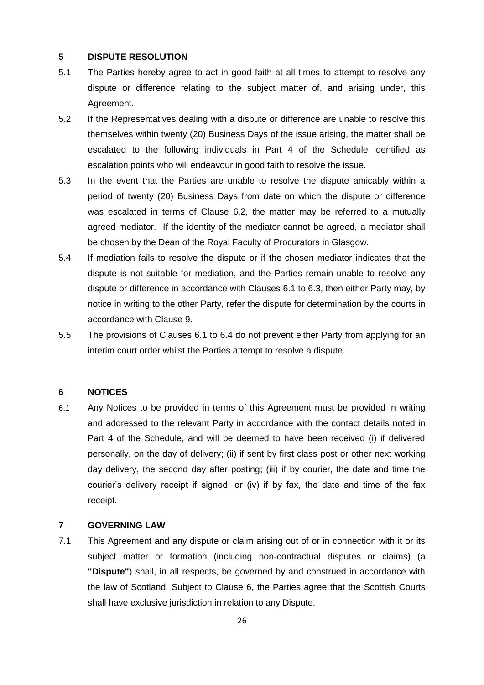#### **5 DISPUTE RESOLUTION**

- 5.1 The Parties hereby agree to act in good faith at all times to attempt to resolve any dispute or difference relating to the subject matter of, and arising under, this Agreement.
- 5.2 If the Representatives dealing with a dispute or difference are unable to resolve this themselves within twenty (20) Business Days of the issue arising, the matter shall be escalated to the following individuals in Part 4 of the Schedule identified as escalation points who will endeavour in good faith to resolve the issue.
- 5.3 In the event that the Parties are unable to resolve the dispute amicably within a period of twenty (20) Business Days from date on which the dispute or difference was escalated in terms of Clause 6.2, the matter may be referred to a mutually agreed mediator. If the identity of the mediator cannot be agreed, a mediator shall be chosen by the Dean of the Royal Faculty of Procurators in Glasgow.
- 5.4 If mediation fails to resolve the dispute or if the chosen mediator indicates that the dispute is not suitable for mediation, and the Parties remain unable to resolve any dispute or difference in accordance with Clauses 6.1 to 6.3, then either Party may, by notice in writing to the other Party, refer the dispute for determination by the courts in accordance with Clause 9.
- 5.5 The provisions of Clauses 6.1 to 6.4 do not prevent either Party from applying for an interim court order whilst the Parties attempt to resolve a dispute.

#### **6 NOTICES**

6.1 Any Notices to be provided in terms of this Agreement must be provided in writing and addressed to the relevant Party in accordance with the contact details noted in Part 4 of the Schedule, and will be deemed to have been received (i) if delivered personally, on the day of delivery; (ii) if sent by first class post or other next working day delivery, the second day after posting; (iii) if by courier, the date and time the courier's delivery receipt if signed; or (iv) if by fax, the date and time of the fax receipt.

## **7 GOVERNING LAW**

7.1 This Agreement and any dispute or claim arising out of or in connection with it or its subject matter or formation (including non-contractual disputes or claims) (a **"Dispute"**) shall, in all respects, be governed by and construed in accordance with the law of Scotland. Subject to Clause 6, the Parties agree that the Scottish Courts shall have exclusive jurisdiction in relation to any Dispute.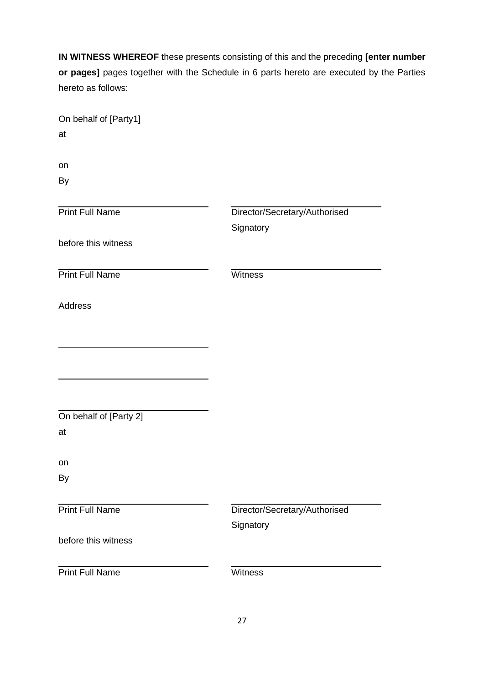**IN WITNESS WHEREOF** these presents consisting of this and the preceding **[enter number or pages]** pages together with the Schedule in 6 parts hereto are executed by the Parties hereto as follows:

| On behalf of [Party1]<br>at  |                                            |
|------------------------------|--------------------------------------------|
| on<br>By                     |                                            |
| <b>Print Full Name</b>       | Director/Secretary/Authorised<br>Signatory |
| before this witness          |                                            |
| <b>Print Full Name</b>       | Witness                                    |
| Address                      |                                            |
|                              |                                            |
|                              |                                            |
| On behalf of [Party 2]<br>at |                                            |
| on<br>By                     |                                            |
| <b>Print Full Name</b>       | Director/Secretary/Authorised              |
| before this witness          | Signatory                                  |
| <b>Print Full Name</b>       | Witness                                    |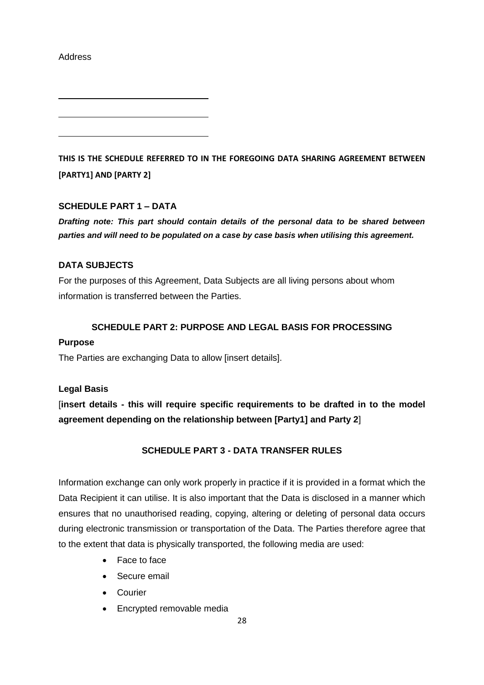Address

**THIS IS THE SCHEDULE REFERRED TO IN THE FOREGOING DATA SHARING AGREEMENT BETWEEN [PARTY1] AND [PARTY 2]**

## **SCHEDULE PART 1 – DATA**

*Drafting note: This part should contain details of the personal data to be shared between parties and will need to be populated on a case by case basis when utilising this agreement.*

## **DATA SUBJECTS**

For the purposes of this Agreement, Data Subjects are all living persons about whom information is transferred between the Parties.

### **SCHEDULE PART 2: PURPOSE AND LEGAL BASIS FOR PROCESSING**

#### **Purpose**

The Parties are exchanging Data to allow [insert details].

### **Legal Basis**

[**insert details - this will require specific requirements to be drafted in to the model agreement depending on the relationship between [Party1] and Party 2**]

## **SCHEDULE PART 3 - DATA TRANSFER RULES**

Information exchange can only work properly in practice if it is provided in a format which the Data Recipient it can utilise. It is also important that the Data is disclosed in a manner which ensures that no unauthorised reading, copying, altering or deleting of personal data occurs during electronic transmission or transportation of the Data. The Parties therefore agree that to the extent that data is physically transported, the following media are used:

- Face to face
- **Secure email**
- Courier
- Encrypted removable media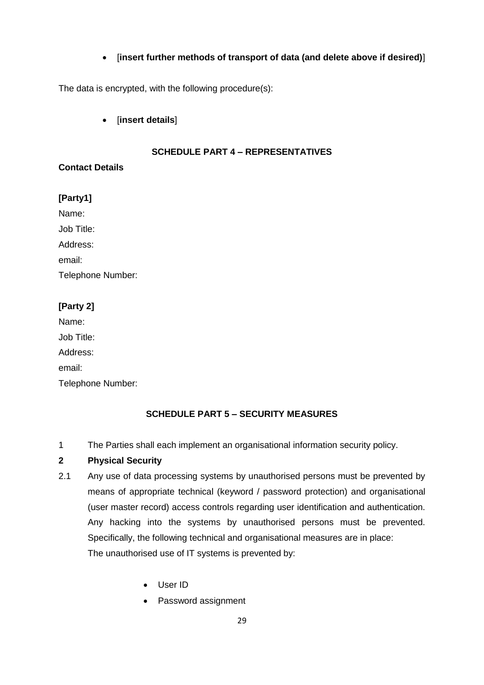## [**insert further methods of transport of data (and delete above if desired)**]

The data is encrypted, with the following procedure(s):

[**insert details**]

## **SCHEDULE PART 4 – REPRESENTATIVES**

## **Contact Details**

# **[Party1]**

Name:

Job Title:

Address:

email:

Telephone Number:

# **[Party 2]**

Name: Job Title: Address: email: Telephone Number:

# **SCHEDULE PART 5 – SECURITY MEASURES**

1 The Parties shall each implement an organisational information security policy.

# **2 Physical Security**

- 2.1 Any use of data processing systems by unauthorised persons must be prevented by means of appropriate technical (keyword / password protection) and organisational (user master record) access controls regarding user identification and authentication. Any hacking into the systems by unauthorised persons must be prevented. Specifically, the following technical and organisational measures are in place: The unauthorised use of IT systems is prevented by:
	- User ID
	- Password assignment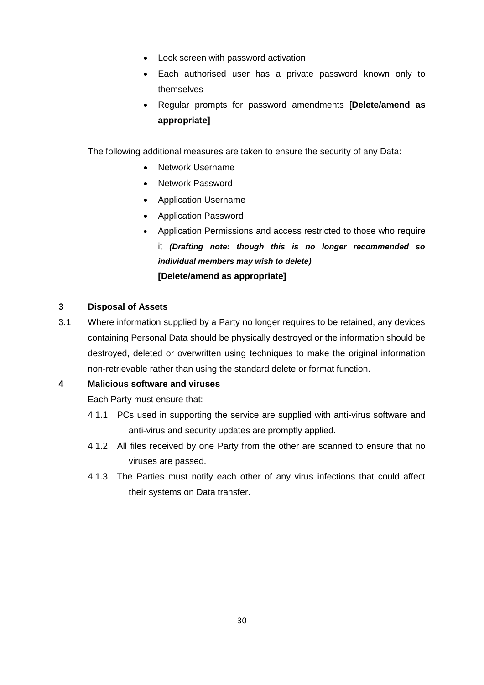- Lock screen with password activation
- Each authorised user has a private password known only to themselves
- Regular prompts for password amendments [**Delete/amend as appropriate]**

The following additional measures are taken to ensure the security of any Data:

- Network Username
- Network Password
- Application Username
- Application Password
- Application Permissions and access restricted to those who require it *(Drafting note: though this is no longer recommended so individual members may wish to delete)* **[Delete/amend as appropriate]**

## **3 Disposal of Assets**

3.1 Where information supplied by a Party no longer requires to be retained, any devices containing Personal Data should be physically destroyed or the information should be destroyed, deleted or overwritten using techniques to make the original information non-retrievable rather than using the standard delete or format function.

### **4 Malicious software and viruses**

Each Party must ensure that:

- 4.1.1 PCs used in supporting the service are supplied with anti-virus software and anti-virus and security updates are promptly applied.
- 4.1.2 All files received by one Party from the other are scanned to ensure that no viruses are passed.
- 4.1.3 The Parties must notify each other of any virus infections that could affect their systems on Data transfer.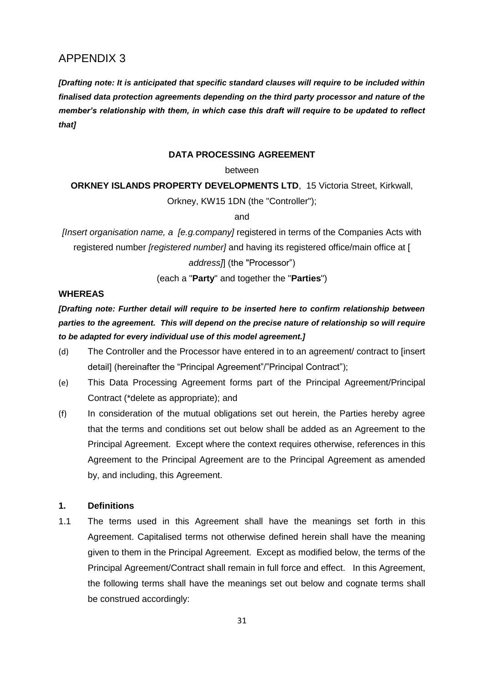# APPENDIX 3

*[Drafting note: It is anticipated that specific standard clauses will require to be included within finalised data protection agreements depending on the third party processor and nature of the member's relationship with them, in which case this draft will require to be updated to reflect that]*

#### **DATA PROCESSING AGREEMENT**

#### between

**ORKNEY ISLANDS PROPERTY DEVELOPMENTS LTD.** 15 Victoria Street, Kirkwall,

Orkney, KW15 1DN (the "Controller");

and

*[Insert organisation name, a [e.g.company]* registered in terms of the Companies Acts with registered number *[registered number]* and having its registered office/main office at [ *address]*] (the "Processor")

(each a "**Party**" and together the "**Parties**")

#### **WHEREAS**

*[Drafting note: Further detail will require to be inserted here to confirm relationship between parties to the agreement. This will depend on the precise nature of relationship so will require to be adapted for every individual use of this model agreement.]*

- (d) The Controller and the Processor have entered in to an agreement/ contract to [insert detail] (hereinafter the "Principal Agreement"/"Principal Contract");
- (e) This Data Processing Agreement forms part of the Principal Agreement/Principal Contract (\*delete as appropriate); and
- (f) In consideration of the mutual obligations set out herein, the Parties hereby agree that the terms and conditions set out below shall be added as an Agreement to the Principal Agreement. Except where the context requires otherwise, references in this Agreement to the Principal Agreement are to the Principal Agreement as amended by, and including, this Agreement.

#### **1. Definitions**

1.1 The terms used in this Agreement shall have the meanings set forth in this Agreement. Capitalised terms not otherwise defined herein shall have the meaning given to them in the Principal Agreement. Except as modified below, the terms of the Principal Agreement/Contract shall remain in full force and effect. In this Agreement, the following terms shall have the meanings set out below and cognate terms shall be construed accordingly: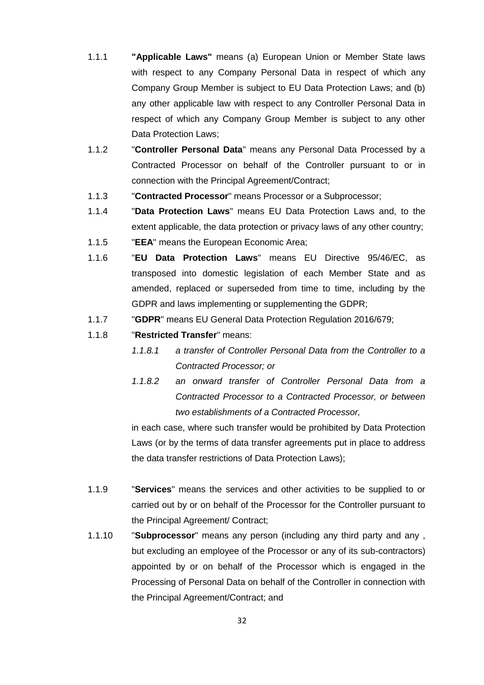- 1.1.1 **"Applicable Laws"** means (a) European Union or Member State laws with respect to any Company Personal Data in respect of which any Company Group Member is subject to EU Data Protection Laws; and (b) any other applicable law with respect to any Controller Personal Data in respect of which any Company Group Member is subject to any other Data Protection Laws;
- 1.1.2 "**Controller Personal Data**" means any Personal Data Processed by a Contracted Processor on behalf of the Controller pursuant to or in connection with the Principal Agreement/Contract;
- 1.1.3 "**Contracted Processor**" means Processor or a Subprocessor;
- 1.1.4 "**Data Protection Laws**" means EU Data Protection Laws and, to the extent applicable, the data protection or privacy laws of any other country;
- 1.1.5 "**EEA**" means the European Economic Area;
- 1.1.6 "**EU Data Protection Laws**" means EU Directive 95/46/EC, as transposed into domestic legislation of each Member State and as amended, replaced or superseded from time to time, including by the GDPR and laws implementing or supplementing the GDPR;
- 1.1.7 "**GDPR**" means EU General Data Protection Regulation 2016/679;
- 1.1.8 "**Restricted Transfer**" means:
	- *1.1.8.1 a transfer of Controller Personal Data from the Controller to a Contracted Processor; or*
	- *1.1.8.2 an onward transfer of Controller Personal Data from a Contracted Processor to a Contracted Processor, or between two establishments of a Contracted Processor,*

in each case, where such transfer would be prohibited by Data Protection Laws (or by the terms of data transfer agreements put in place to address the data transfer restrictions of Data Protection Laws);

- 1.1.9 "**Services**" means the services and other activities to be supplied to or carried out by or on behalf of the Processor for the Controller pursuant to the Principal Agreement/ Contract;
- 1.1.10 "**Subprocessor**" means any person (including any third party and any , but excluding an employee of the Processor or any of its sub-contractors) appointed by or on behalf of the Processor which is engaged in the Processing of Personal Data on behalf of the Controller in connection with the Principal Agreement/Contract; and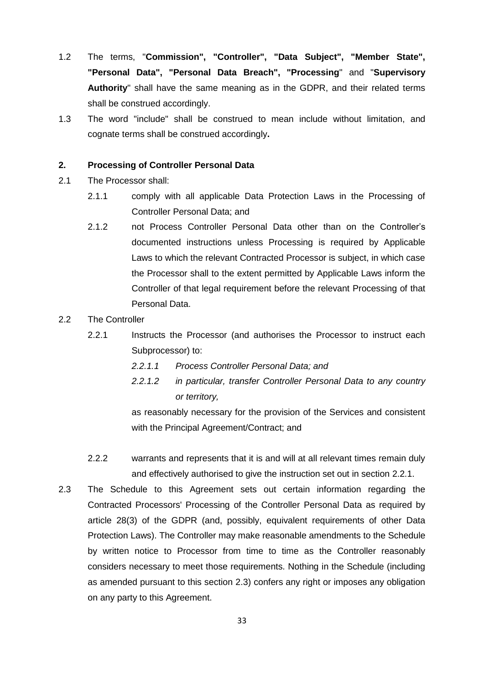- 1.2 The terms, "**Commission", "Controller", "Data Subject", "Member State", "Personal Data", "Personal Data Breach", "Processing**" and "**Supervisory Authority**" shall have the same meaning as in the GDPR, and their related terms shall be construed accordingly.
- 1.3 The word "include" shall be construed to mean include without limitation, and cognate terms shall be construed accordingly**.**

### **2. Processing of Controller Personal Data**

- 2.1 The Processor shall:
	- 2.1.1 comply with all applicable Data Protection Laws in the Processing of Controller Personal Data; and
	- 2.1.2 not Process Controller Personal Data other than on the Controller's documented instructions unless Processing is required by Applicable Laws to which the relevant Contracted Processor is subject, in which case the Processor shall to the extent permitted by Applicable Laws inform the Controller of that legal requirement before the relevant Processing of that Personal Data.

## 2.2 The Controller

- 2.2.1 Instructs the Processor (and authorises the Processor to instruct each Subprocessor) to:
	- *2.2.1.1 Process Controller Personal Data; and*
	- *2.2.1.2 in particular, transfer Controller Personal Data to any country or territory,*

as reasonably necessary for the provision of the Services and consistent with the Principal Agreement/Contract; and

- 2.2.2 warrants and represents that it is and will at all relevant times remain duly and effectively authorised to give the instruction set out in section [2.2.1.](../../Judith/AppData/Local/Microsoft/awm/AppData/Local/Microsoft/Windows/Temporary%20Internet%20Files/Content.IE5/FGDKD7N7/example_data_protection_addendum.doc#_Ref482951323)
- 2.3 The Schedule to this Agreement sets out certain information regarding the Contracted Processors' Processing of the Controller Personal Data as required by article 28(3) of the GDPR (and, possibly, equivalent requirements of other Data Protection Laws). The Controller may make reasonable amendments to the Schedule by written notice to Processor from time to time as the Controller reasonably considers necessary to meet those requirements. Nothing in the Schedule (including as amended pursuant to this section [2.3\)](../../Judith/AppData/Local/Microsoft/awm/AppData/Local/Microsoft/Windows/Temporary%20Internet%20Files/Content.IE5/FGDKD7N7/example_data_protection_addendum.doc#_Ref482964294) confers any right or imposes any obligation on any party to this Agreement.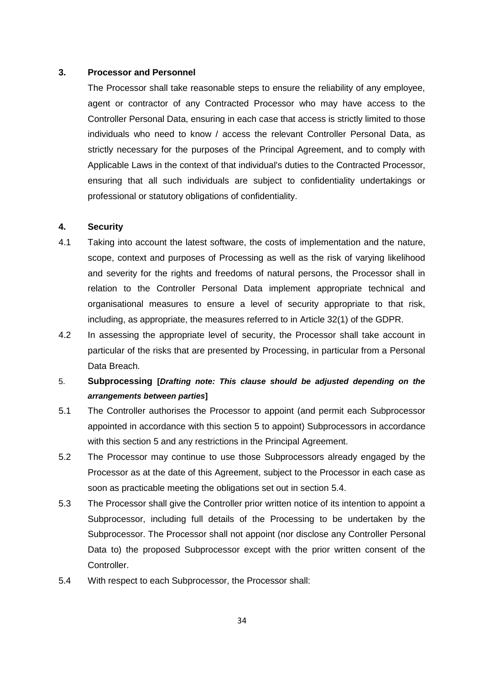#### **3. Processor and Personnel**

The Processor shall take reasonable steps to ensure the reliability of any employee, agent or contractor of any Contracted Processor who may have access to the Controller Personal Data, ensuring in each case that access is strictly limited to those individuals who need to know / access the relevant Controller Personal Data, as strictly necessary for the purposes of the Principal Agreement, and to comply with Applicable Laws in the context of that individual's duties to the Contracted Processor, ensuring that all such individuals are subject to confidentiality undertakings or professional or statutory obligations of confidentiality.

## **4. Security**

- 4.1 Taking into account the latest software, the costs of implementation and the nature, scope, context and purposes of Processing as well as the risk of varying likelihood and severity for the rights and freedoms of natural persons, the Processor shall in relation to the Controller Personal Data implement appropriate technical and organisational measures to ensure a level of security appropriate to that risk, including, as appropriate, the measures referred to in Article 32(1) of the GDPR.
- 4.2 In assessing the appropriate level of security, the Processor shall take account in particular of the risks that are presented by Processing, in particular from a Personal Data Breach.
- 5. **Subprocessing [***Drafting note: This clause should be adjusted depending on the arrangements between parties***]**
- 5.1 The Controller authorises the Processor to appoint (and permit each Subprocessor appointed in accordance with this section [5](../../Judith/AppData/Local/Microsoft/awm/AppData/Local/Microsoft/Windows/Temporary%20Internet%20Files/Content.IE5/FGDKD7N7/example_data_protection_addendum.doc#_Ref472956474) to appoint) Subprocessors in accordance with this section [5](../../Judith/AppData/Local/Microsoft/awm/AppData/Local/Microsoft/Windows/Temporary%20Internet%20Files/Content.IE5/FGDKD7N7/example_data_protection_addendum.doc#_Ref472956474) and any restrictions in the Principal Agreement.
- 5.2 The Processor may continue to use those Subprocessors already engaged by the Processor as at the date of this Agreement, subject to the Processor in each case as soon as practicable meeting the obligations set out in section [5.4.](../../Judith/AppData/Local/Microsoft/awm/AppData/Local/Microsoft/Windows/Temporary%20Internet%20Files/Content.IE5/FGDKD7N7/example_data_protection_addendum.doc#_Ref478107174)
- 5.3 The Processor shall give the Controller prior written notice of its intention to appoint a Subprocessor, including full details of the Processing to be undertaken by the Subprocessor. The Processor shall not appoint (nor disclose any Controller Personal Data to) the proposed Subprocessor except with the prior written consent of the Controller.
- 5.4 With respect to each Subprocessor, the Processor shall: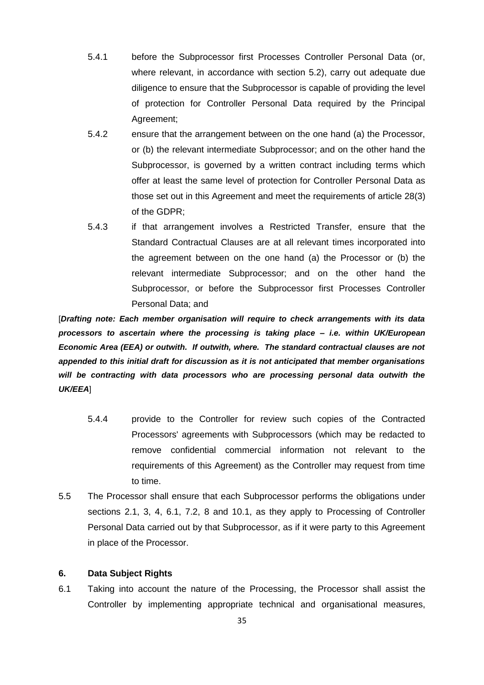- 5.4.1 before the Subprocessor first Processes Controller Personal Data (or, where relevant, in accordance with section [5.2\)](../../Judith/AppData/Local/Microsoft/awm/AppData/Local/Microsoft/Windows/Temporary%20Internet%20Files/Content.IE5/FGDKD7N7/example_data_protection_addendum.doc#_Ref472933585), carry out adequate due diligence to ensure that the Subprocessor is capable of providing the level of protection for Controller Personal Data required by the Principal Agreement;
- 5.4.2 ensure that the arrangement between on the one hand (a) the Processor, or (b) the relevant intermediate Subprocessor; and on the other hand the Subprocessor, is governed by a written contract including terms which offer at least the same level of protection for Controller Personal Data as those set out in this Agreement and meet the requirements of article 28(3) of the GDPR;
- 5.4.3 if that arrangement involves a Restricted Transfer, ensure that the Standard Contractual Clauses are at all relevant times incorporated into the agreement between on the one hand (a) the Processor or (b) the relevant intermediate Subprocessor; and on the other hand the Subprocessor, or before the Subprocessor first Processes Controller Personal Data; and

[*Drafting note: Each member organisation will require to check arrangements with its data processors to ascertain where the processing is taking place – i.e. within UK/European Economic Area (EEA) or outwith. If outwith, where. The standard contractual clauses are not appended to this initial draft for discussion as it is not anticipated that member organisations will be contracting with data processors who are processing personal data outwith the UK/EEA*]

- 5.4.4 provide to the Controller for review such copies of the Contracted Processors' agreements with Subprocessors (which may be redacted to remove confidential commercial information not relevant to the requirements of this Agreement) as the Controller may request from time to time.
- 5.5 The Processor shall ensure that each Subprocessor performs the obligations under sections [2.1,](../../Judith/AppData/Local/Microsoft/awm/AppData/Local/Microsoft/Windows/Temporary%20Internet%20Files/Content.IE5/FGDKD7N7/example_data_protection_addendum.doc#_Ref471379220) 3, 4, [6.1,](../../Judith/AppData/Local/Microsoft/awm/AppData/Local/Microsoft/Windows/Temporary%20Internet%20Files/Content.IE5/FGDKD7N7/example_data_protection_addendum.doc#_Ref479246263) [7.2,](../../Judith/AppData/Local/Microsoft/awm/AppData/Local/Microsoft/Windows/Temporary%20Internet%20Files/Content.IE5/FGDKD7N7/example_data_protection_addendum.doc#_Ref482964994) 8 and [10.1,](../../Judith/AppData/Local/Microsoft/awm/AppData/Local/Microsoft/Windows/Temporary%20Internet%20Files/Content.IE5/FGDKD7N7/example_data_protection_addendum.doc#_Ref482970378) as they apply to Processing of Controller Personal Data carried out by that Subprocessor, as if it were party to this Agreement in place of the Processor.

#### **6. Data Subject Rights**

6.1 Taking into account the nature of the Processing, the Processor shall assist the Controller by implementing appropriate technical and organisational measures,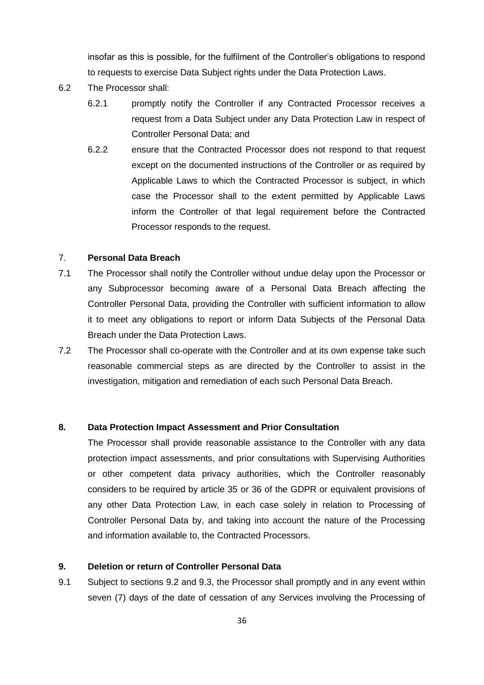insofar as this is possible, for the fulfilment of the Controller's obligations to respond to requests to exercise Data Subject rights under the Data Protection Laws.

- 6.2 The Processor shall:
	- 6.2.1 promptly notify the Controller if any Contracted Processor receives a request from a Data Subject under any Data Protection Law in respect of Controller Personal Data; and
	- 6.2.2 ensure that the Contracted Processor does not respond to that request except on the documented instructions of the Controller or as required by Applicable Laws to which the Contracted Processor is subject, in which case the Processor shall to the extent permitted by Applicable Laws inform the Controller of that legal requirement before the Contracted Processor responds to the request.

#### 7. **Personal Data Breach**

- 7.1 The Processor shall notify the Controller without undue delay upon the Processor or any Subprocessor becoming aware of a Personal Data Breach affecting the Controller Personal Data, providing the Controller with sufficient information to allow it to meet any obligations to report or inform Data Subjects of the Personal Data Breach under the Data Protection Laws.
- 7.2 The Processor shall co-operate with the Controller and at its own expense take such reasonable commercial steps as are directed by the Controller to assist in the investigation, mitigation and remediation of each such Personal Data Breach.

#### **8. Data Protection Impact Assessment and Prior Consultation**

The Processor shall provide reasonable assistance to the Controller with any data protection impact assessments, and prior consultations with Supervising Authorities or other competent data privacy authorities, which the Controller reasonably considers to be required by article 35 or 36 of the GDPR or equivalent provisions of any other Data Protection Law, in each case solely in relation to Processing of Controller Personal Data by, and taking into account the nature of the Processing and information available to, the Contracted Processors.

#### **9. Deletion or return of Controller Personal Data**

9.1 Subject to sections [9.2](../../Judith/AppData/Local/Microsoft/awm/AppData/Local/Microsoft/Windows/Temporary%20Internet%20Files/Content.IE5/FGDKD7N7/example_data_protection_addendum.doc#_Ref479850356) and [9.3,](../../Judith/AppData/Local/Microsoft/awm/AppData/Local/Microsoft/Windows/Temporary%20Internet%20Files/Content.IE5/FGDKD7N7/example_data_protection_addendum.doc#_Ref475523583) the Processor shall promptly and in any event within seven (7) days of the date of cessation of any Services involving the Processing of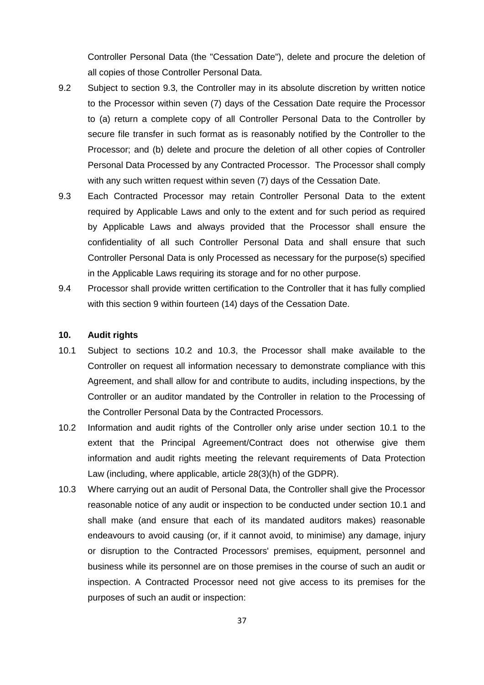Controller Personal Data (the "Cessation Date"), delete and procure the deletion of all copies of those Controller Personal Data.

- 9.2 Subject to section [9.3,](../../Judith/AppData/Local/Microsoft/awm/AppData/Local/Microsoft/Windows/Temporary%20Internet%20Files/Content.IE5/FGDKD7N7/example_data_protection_addendum.doc#_Ref475523583) the Controller may in its absolute discretion by written notice to the Processor within seven (7) days of the Cessation Date require the Processor to (a) return a complete copy of all Controller Personal Data to the Controller by secure file transfer in such format as is reasonably notified by the Controller to the Processor; and (b) delete and procure the deletion of all other copies of Controller Personal Data Processed by any Contracted Processor. The Processor shall comply with any such written request within seven (7) days of the Cessation Date.
- 9.3 Each Contracted Processor may retain Controller Personal Data to the extent required by Applicable Laws and only to the extent and for such period as required by Applicable Laws and always provided that the Processor shall ensure the confidentiality of all such Controller Personal Data and shall ensure that such Controller Personal Data is only Processed as necessary for the purpose(s) specified in the Applicable Laws requiring its storage and for no other purpose.
- 9.4 Processor shall provide written certification to the Controller that it has fully complied with this section 9 within fourteen (14) days of the Cessation Date.

#### **10. Audit rights**

- 10.1 Subject to sections [10.2](../../Judith/AppData/Local/Microsoft/awm/AppData/Local/Microsoft/Windows/Temporary%20Internet%20Files/Content.IE5/FGDKD7N7/example_data_protection_addendum.doc#_Ref483162686) and 10.3, the Processor shall make available to the Controller on request all information necessary to demonstrate compliance with this Agreement, and shall allow for and contribute to audits, including inspections, by the Controller or an auditor mandated by the Controller in relation to the Processing of the Controller Personal Data by the Contracted Processors.
- 10.2 Information and audit rights of the Controller only arise under section [10.1](../../Judith/AppData/Local/Microsoft/awm/AppData/Local/Microsoft/Windows/Temporary%20Internet%20Files/Content.IE5/FGDKD7N7/example_data_protection_addendum.doc#_Ref482970378) to the extent that the Principal Agreement/Contract does not otherwise give them information and audit rights meeting the relevant requirements of Data Protection Law (including, where applicable, article 28(3)(h) of the GDPR).
- 10.3 Where carrying out an audit of Personal Data, the Controller shall give the Processor reasonable notice of any audit or inspection to be conducted under section [10.1](../../Judith/AppData/Local/Microsoft/awm/AppData/Local/Microsoft/Windows/Temporary%20Internet%20Files/Content.IE5/FGDKD7N7/example_data_protection_addendum.doc#_Ref482970378) and shall make (and ensure that each of its mandated auditors makes) reasonable endeavours to avoid causing (or, if it cannot avoid, to minimise) any damage, injury or disruption to the Contracted Processors' premises, equipment, personnel and business while its personnel are on those premises in the course of such an audit or inspection. A Contracted Processor need not give access to its premises for the purposes of such an audit or inspection: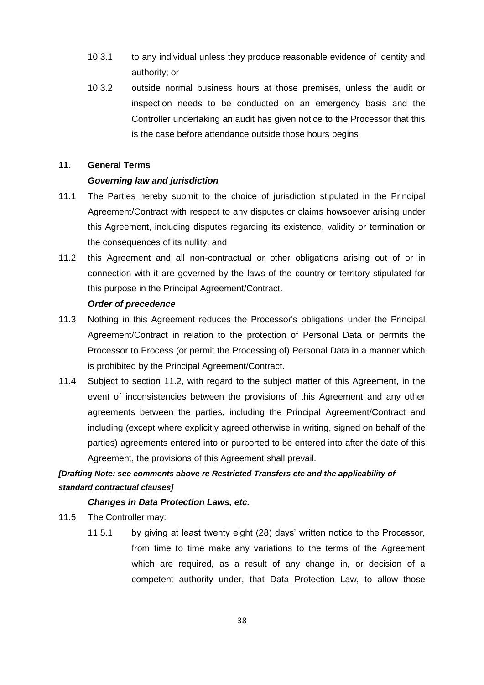- 10.3.1 to any individual unless they produce reasonable evidence of identity and authority; or
- 10.3.2 outside normal business hours at those premises, unless the audit or inspection needs to be conducted on an emergency basis and the Controller undertaking an audit has given notice to the Processor that this is the case before attendance outside those hours begins

## **11. General Terms**

#### *Governing law and jurisdiction*

- 11.1 The Parties hereby submit to the choice of jurisdiction stipulated in the Principal Agreement/Contract with respect to any disputes or claims howsoever arising under this Agreement, including disputes regarding its existence, validity or termination or the consequences of its nullity; and
- 11.2 this Agreement and all non-contractual or other obligations arising out of or in connection with it are governed by the laws of the country or territory stipulated for this purpose in the Principal Agreement/Contract.

#### *Order of precedence*

- 11.3 Nothing in this Agreement reduces the Processor's obligations under the Principal Agreement/Contract in relation to the protection of Personal Data or permits the Processor to Process (or permit the Processing of) Personal Data in a manner which is prohibited by the Principal Agreement/Contract.
- 11.4 Subject to section [11.2,](../../Judith/AppData/Local/Microsoft/awm/AppData/Local/Microsoft/Windows/Temporary%20Internet%20Files/Content.IE5/FGDKD7N7/example_data_protection_addendum.doc#_Ref483165090) with regard to the subject matter of this Agreement, in the event of inconsistencies between the provisions of this Agreement and any other agreements between the parties, including the Principal Agreement/Contract and including (except where explicitly agreed otherwise in writing, signed on behalf of the parties) agreements entered into or purported to be entered into after the date of this Agreement, the provisions of this Agreement shall prevail.

# *[Drafting Note: see comments above re Restricted Transfers etc and the applicability of standard contractual clauses]*

#### *Changes in Data Protection Laws, etc.*

11.5 The Controller may:

11.5.1 by giving at least twenty eight (28) days' written notice to the Processor, from time to time make any variations to the terms of the Agreement which are required, as a result of any change in, or decision of a competent authority under, that Data Protection Law, to allow those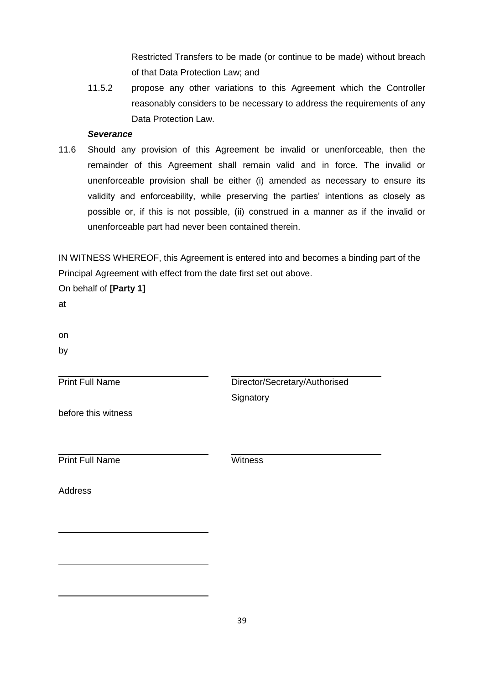Restricted Transfers to be made (or continue to be made) without breach of that Data Protection Law; and

11.5.2 propose any other variations to this Agreement which the Controller reasonably considers to be necessary to address the requirements of any Data Protection Law.

#### *Severance*

11.6 Should any provision of this Agreement be invalid or unenforceable, then the remainder of this Agreement shall remain valid and in force. The invalid or unenforceable provision shall be either (i) amended as necessary to ensure its validity and enforceability, while preserving the parties' intentions as closely as possible or, if this is not possible, (ii) construed in a manner as if the invalid or unenforceable part had never been contained therein.

IN WITNESS WHEREOF, this Agreement is entered into and becomes a binding part of the Principal Agreement with effect from the date first set out above.

On behalf of **[Party 1]**

at

on

by

Print Full Name

Director/Secretary/Authorised **Signatory** 

before this witness

**Print Full Name** Witness

Address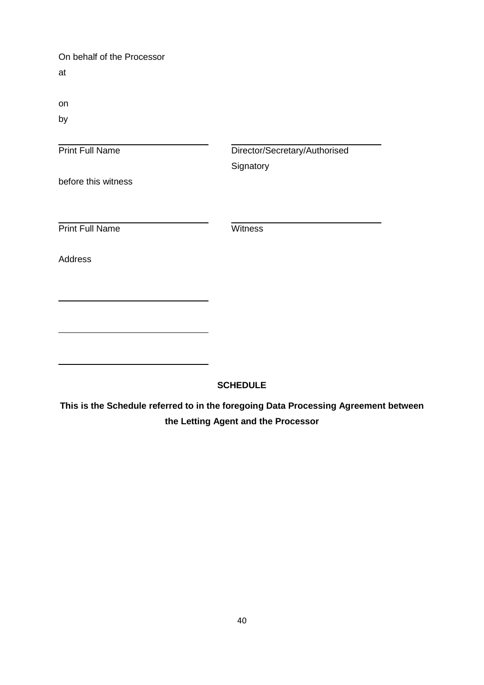On behalf of the Processor at

on

by

| <b>Print Full Name</b> | Director/Secretary/Authorised |
|------------------------|-------------------------------|
|                        | Signatory                     |
| before this witness    |                               |
|                        |                               |
| <b>Print Full Name</b> | Witness                       |
| <b>Address</b>         |                               |
|                        |                               |
|                        |                               |
|                        |                               |
|                        |                               |
|                        |                               |

## **SCHEDULE**

**This is the Schedule referred to in the foregoing Data Processing Agreement between the Letting Agent and the Processor**